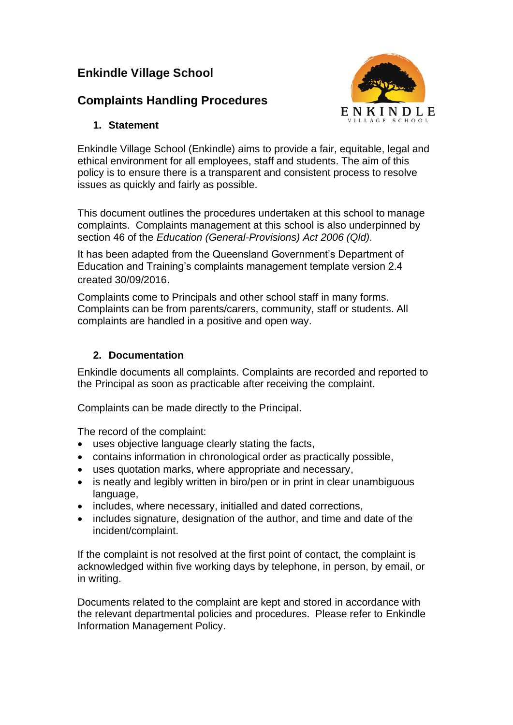# **Enkindle Village School**

# **Complaints Handling Procedures**



# **1. Statement**

Enkindle Village School (Enkindle) aims to provide a fair, equitable, legal and ethical environment for all employees, staff and students. The aim of this policy is to ensure there is a transparent and consistent process to resolve issues as quickly and fairly as possible.

This document outlines the procedures undertaken at this school to manage complaints. Complaints management at this school is also underpinned by section 46 of the *Education (General-Provisions) Act 2006 (Qld).*

It has been adapted from the Queensland Government's Department of Education and Training's complaints management template version 2.4 created 30/09/2016.

Complaints come to Principals and other school staff in many forms. Complaints can be from parents/carers, community, staff or students. All complaints are handled in a positive and open way.

# **2. Documentation**

Enkindle documents all complaints. Complaints are recorded and reported to the Principal as soon as practicable after receiving the complaint.

Complaints can be made directly to the Principal.

The record of the complaint:

- uses objective language clearly stating the facts,
- contains information in chronological order as practically possible,
- uses quotation marks, where appropriate and necessary,
- is neatly and legibly written in biro/pen or in print in clear unambiguous language,
- includes, where necessary, initialled and dated corrections,
- includes signature, designation of the author, and time and date of the incident/complaint.

If the complaint is not resolved at the first point of contact, the complaint is acknowledged within five working days by telephone, in person, by email, or in writing.

Documents related to the complaint are kept and stored in accordance with the relevant departmental policies and procedures. Please refer to Enkindle Information Management Policy.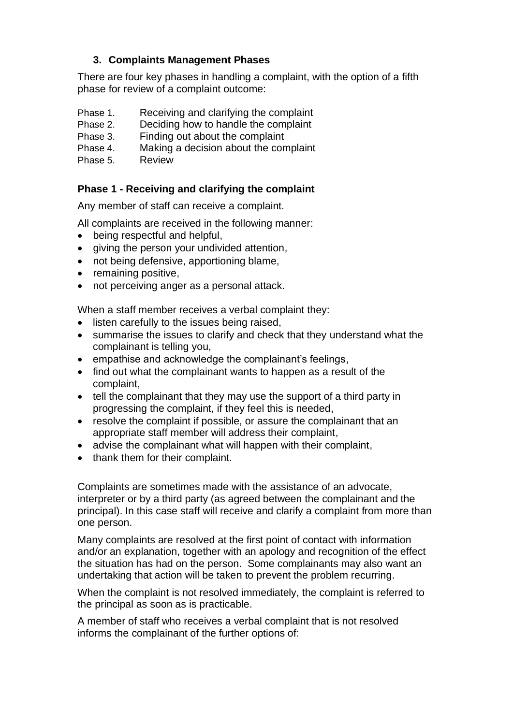# **3. Complaints Management Phases**

There are four key phases in handling a complaint, with the option of a fifth phase for review of a complaint outcome:

- Phase 1. Receiving and clarifying the complaint
- Phase 2. Deciding how to handle the complaint
- Phase 3. Finding out about the complaint
- Phase 4. Making a decision about the complaint
- Phase 5. Review

# **Phase 1 - Receiving and clarifying the complaint**

Any member of staff can receive a complaint.

All complaints are received in the following manner:

- being respectful and helpful,
- giving the person your undivided attention,
- not being defensive, apportioning blame,
- remaining positive,
- not perceiving anger as a personal attack.

When a staff member receives a verbal complaint they:

- listen carefully to the issues being raised,
- summarise the issues to clarify and check that they understand what the complainant is telling you,
- empathise and acknowledge the complainant's feelings,
- find out what the complainant wants to happen as a result of the complaint,
- tell the complainant that they may use the support of a third party in progressing the complaint, if they feel this is needed,
- resolve the complaint if possible, or assure the complainant that an appropriate staff member will address their complaint,
- advise the complainant what will happen with their complaint,
- thank them for their complaint.

Complaints are sometimes made with the assistance of an advocate, interpreter or by a third party (as agreed between the complainant and the principal). In this case staff will receive and clarify a complaint from more than one person.

Many complaints are resolved at the first point of contact with information and/or an explanation, together with an apology and recognition of the effect the situation has had on the person. Some complainants may also want an undertaking that action will be taken to prevent the problem recurring.

When the complaint is not resolved immediately, the complaint is referred to the principal as soon as is practicable.

A member of staff who receives a verbal complaint that is not resolved informs the complainant of the further options of: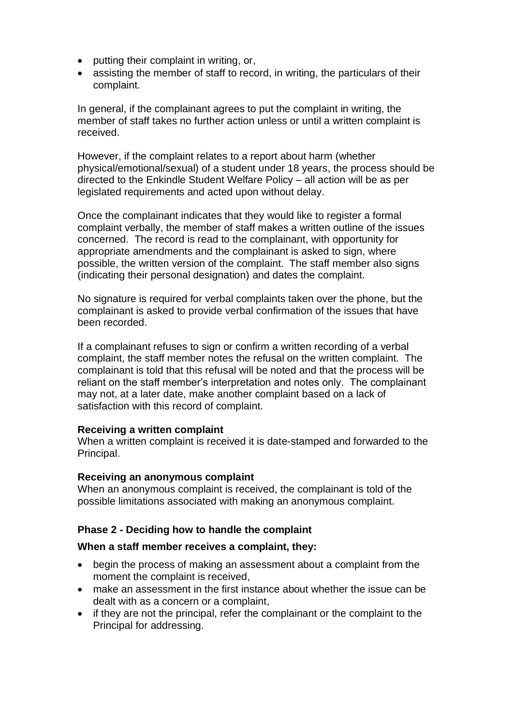- putting their complaint in writing, or,
- assisting the member of staff to record, in writing, the particulars of their complaint.

In general, if the complainant agrees to put the complaint in writing, the member of staff takes no further action unless or until a written complaint is received.

However, if the complaint relates to a report about harm (whether physical/emotional/sexual) of a student under 18 years, the process should be directed to the Enkindle Student Welfare Policy – all action will be as per legislated requirements and acted upon without delay.

Once the complainant indicates that they would like to register a formal complaint verbally, the member of staff makes a written outline of the issues concerned. The record is read to the complainant, with opportunity for appropriate amendments and the complainant is asked to sign, where possible, the written version of the complaint. The staff member also signs (indicating their personal designation) and dates the complaint.

No signature is required for verbal complaints taken over the phone, but the complainant is asked to provide verbal confirmation of the issues that have been recorded.

If a complainant refuses to sign or confirm a written recording of a verbal complaint, the staff member notes the refusal on the written complaint. The complainant is told that this refusal will be noted and that the process will be reliant on the staff member's interpretation and notes only. The complainant may not, at a later date, make another complaint based on a lack of satisfaction with this record of complaint.

# **Receiving a written complaint**

When a written complaint is received it is date-stamped and forwarded to the Principal.

## **Receiving an anonymous complaint**

When an anonymous complaint is received, the complainant is told of the possible limitations associated with making an anonymous complaint.

## **Phase 2 - Deciding how to handle the complaint**

## **When a staff member receives a complaint, they:**

- begin the process of making an assessment about a complaint from the moment the complaint is received,
- make an assessment in the first instance about whether the issue can be dealt with as a concern or a complaint,
- if they are not the principal, refer the complainant or the complaint to the Principal for addressing.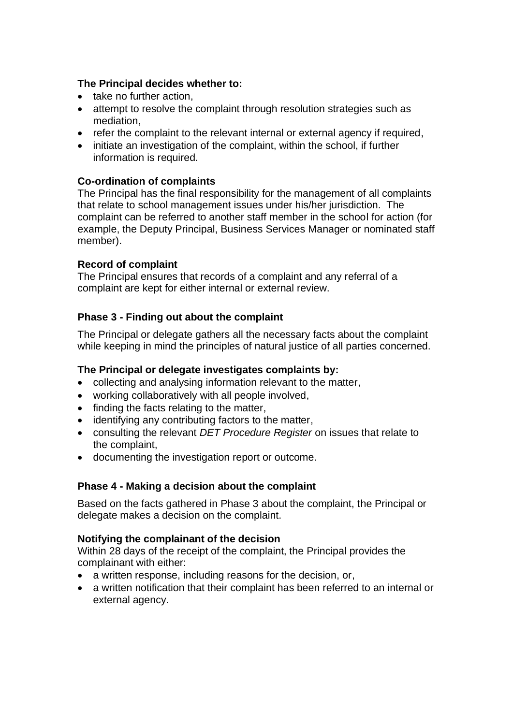## **The Principal decides whether to:**

- take no further action,
- attempt to resolve the complaint through resolution strategies such as mediation,
- refer the complaint to the relevant internal or external agency if required,
- initiate an investigation of the complaint, within the school, if further information is required.

## **Co-ordination of complaints**

The Principal has the final responsibility for the management of all complaints that relate to school management issues under his/her jurisdiction. The complaint can be referred to another staff member in the school for action (for example, the Deputy Principal, Business Services Manager or nominated staff member).

# **Record of complaint**

The Principal ensures that records of a complaint and any referral of a complaint are kept for either internal or external review.

# **Phase 3 - Finding out about the complaint**

The Principal or delegate gathers all the necessary facts about the complaint while keeping in mind the principles of natural justice of all parties concerned.

## **The Principal or delegate investigates complaints by:**

- collecting and analysing information relevant to the matter,
- working collaboratively with all people involved,
- finding the facts relating to the matter,
- identifying any contributing factors to the matter,
- consulting the relevant *DET Procedure Register* on issues that relate to the complaint,
- documenting the investigation report or outcome.

# **Phase 4 - Making a decision about the complaint**

Based on the facts gathered in Phase 3 about the complaint, the Principal or delegate makes a decision on the complaint.

## **Notifying the complainant of the decision**

Within 28 days of the receipt of the complaint, the Principal provides the complainant with either:

- a written response, including reasons for the decision, or,
- a written notification that their complaint has been referred to an internal or external agency.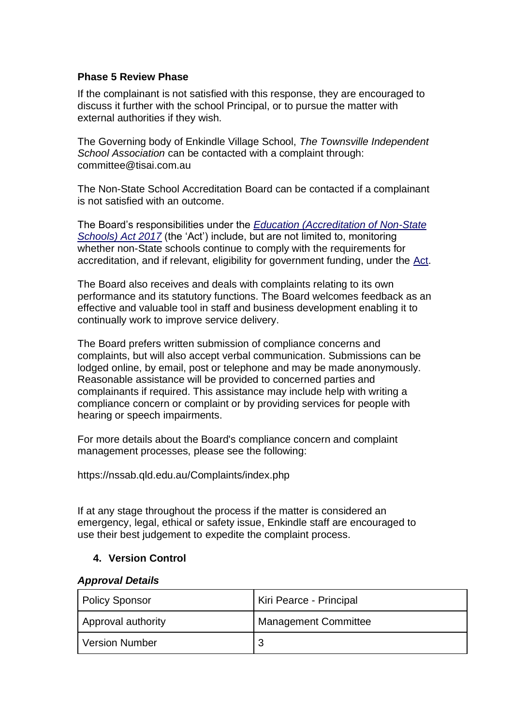## **Phase 5 Review Phase**

If the complainant is not satisfied with this response, they are encouraged to discuss it further with the school Principal, or to pursue the matter with external authorities if they wish.

The Governing body of Enkindle Village School, *The Townsville Independent School Association* can be contacted with a complaint through: committee@tisai.com.au

The Non-State School Accreditation Board can be contacted if a complainant is not satisfied with an outcome.

The Board's responsibilities under the *[Education \(Accreditation of Non-State](https://www.legislation.qld.gov.au/browse/inforce)  [Schools\) Act 2017](https://www.legislation.qld.gov.au/browse/inforce)* (the 'Act') include, but are not limited to, monitoring whether non-State schools continue to comply with the requirements for accreditation, and if relevant, eligibility for government funding, under the [Act.](https://www.legislation.qld.gov.au/browse/inforce)

The Board also receives and deals with complaints relating to its own performance and its statutory functions. The Board welcomes feedback as an effective and valuable tool in staff and business development enabling it to continually work to improve service delivery.

The Board prefers written submission of compliance concerns and complaints, but will also accept verbal communication. Submissions can be lodged online, by email, post or telephone and may be made anonymously. Reasonable assistance will be provided to concerned parties and complainants if required. This assistance may include help with writing a compliance concern or complaint or by providing services for people with hearing or speech impairments.

For more details about the Board's compliance concern and complaint management processes, please see the following:

https://nssab.qld.edu.au/Complaints/index.php

If at any stage throughout the process if the matter is considered an emergency, legal, ethical or safety issue, Enkindle staff are encouraged to use their best judgement to expedite the complaint process.

# **4. Version Control**

## *Approval Details*

| <b>Policy Sponsor</b> | Kiri Pearce - Principal |
|-----------------------|-------------------------|
| Approval authority    | Management Committee    |
| <b>Version Number</b> |                         |